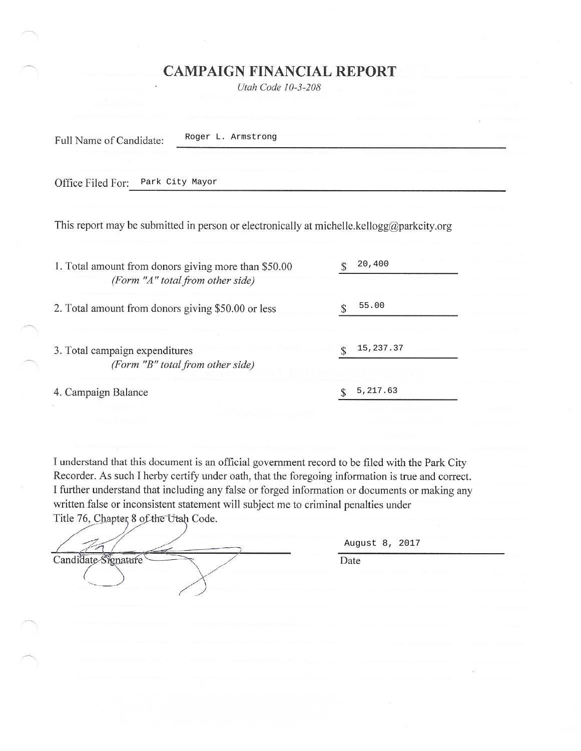## **CAMPAIGN FINANCIAL REPORT**

Utah Code 10-3-208

Full Name of Candidate:

Roger L. Armstrong

Office Filed For: Park City Mayor

This report may be submitted in person or electronically at michelle.kellogg@parkcity.org

| 1. Total amount from donors giving more than \$50.00<br>(Form "A" total from other side) | 20,400    |
|------------------------------------------------------------------------------------------|-----------|
| 2. Total amount from donors giving \$50.00 or less                                       | 55.00     |
| 3. Total campaign expenditures<br>(Form "B" total from other side)                       | 15,237.37 |
| 4. Campaign Balance                                                                      | 5,217.63  |

I understand that this document is an official government record to be filed with the Park City Recorder. As such I herby certify under oath, that the foregoing information is true and correct. I further understand that including any false or forged information or documents or making any written false or inconsistent statement will subject me to criminal penalties under Title 76, Chapter 8 of the Utah Code.

|                                                                                                                                                                                                                                                                                 | August 8, 2017                                                   |  |  |  |  |
|---------------------------------------------------------------------------------------------------------------------------------------------------------------------------------------------------------------------------------------------------------------------------------|------------------------------------------------------------------|--|--|--|--|
| Candida<br>'ure                                                                                                                                                                                                                                                                 | Date                                                             |  |  |  |  |
|                                                                                                                                                                                                                                                                                 |                                                                  |  |  |  |  |
| A 2010 AND RESIDENCE AND RESIDENCE OF THE RESIDENCE OF THE RESIDENCE OF THE RESIDENCE OF THE RESIDENCE OF THE RESIDENCE OF THE RESIDENCE OF THE RESIDENCE OF THE RESIDENCE OF THE RESIDENCE OF THE RESIDENCE OF THE RESIDENCE<br>The main and contract the contract of the con- | color with the sky V to color and had a factor of their company. |  |  |  |  |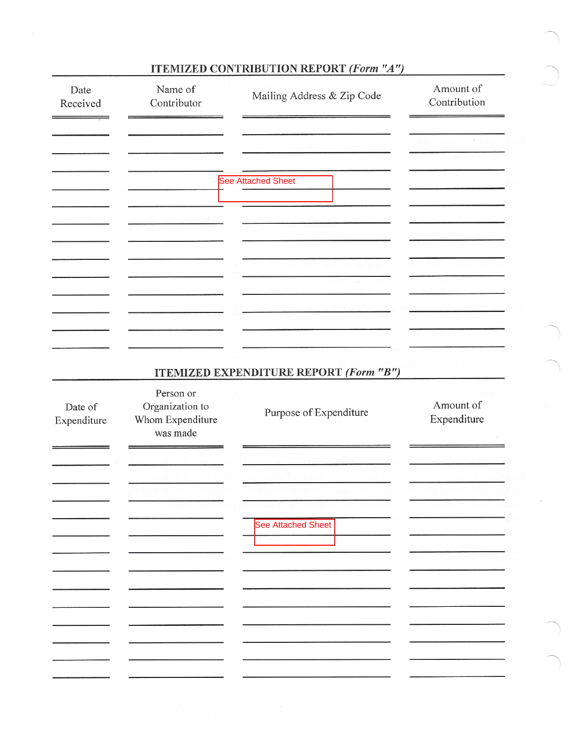| Date<br>Received       | Name of<br>Contributor                                       | Mailing Address & Zip Code                    | Amount of<br>Contribution |
|------------------------|--------------------------------------------------------------|-----------------------------------------------|---------------------------|
|                        |                                                              |                                               |                           |
|                        |                                                              | <b>See Attached Sheet</b>                     |                           |
|                        |                                                              |                                               |                           |
|                        |                                                              |                                               |                           |
|                        |                                                              |                                               |                           |
|                        |                                                              | <b>ITEMIZED EXPENDITURE REPORT (Form "B")</b> |                           |
| Date of<br>Expenditure | Person or<br>Organization to<br>Whom Expenditure<br>was made | Purpose of Expenditure                        | Amount of<br>Expenditure  |
|                        |                                                              |                                               |                           |
|                        |                                                              |                                               |                           |
|                        |                                                              | <b>See Attached Sheet</b>                     |                           |
|                        |                                                              |                                               |                           |
|                        |                                                              |                                               |                           |
|                        |                                                              |                                               |                           |

## **ITEMIZED CONTRIBUTION REPORT (Form "A")**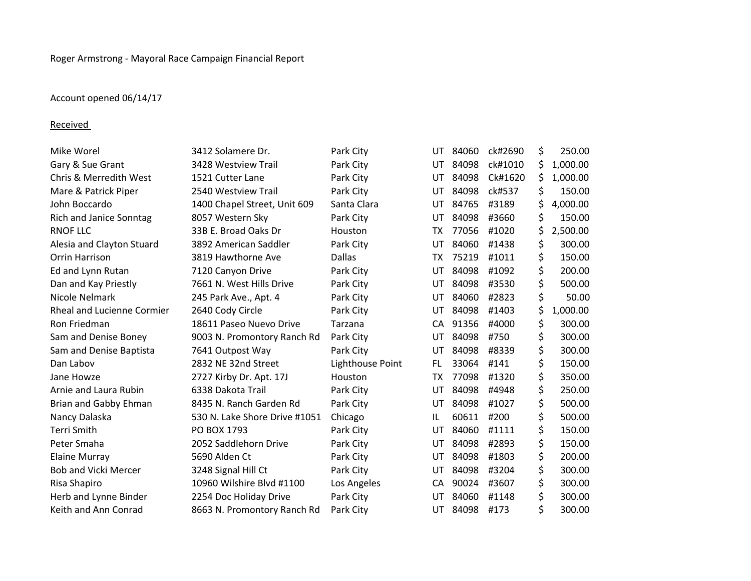## Account opened 06/14/17

## **Received**

| Mike Worel                  | 3412 Solamere Dr.             | Park City        | UT. | 84060 | ck#2690 | \$<br>250.00   |
|-----------------------------|-------------------------------|------------------|-----|-------|---------|----------------|
| Gary & Sue Grant            | 3428 Westview Trail           | Park City        | UT  | 84098 | ck#1010 | \$<br>1,000.00 |
| Chris & Merredith West      | 1521 Cutter Lane              | Park City        | UT  | 84098 | Ck#1620 | \$<br>1,000.00 |
| Mare & Patrick Piper        | 2540 Westview Trail           | Park City        | UT  | 84098 | ck#537  | \$<br>150.00   |
| John Boccardo               | 1400 Chapel Street, Unit 609  | Santa Clara      | UT  | 84765 | #3189   | \$<br>4,000.00 |
| Rich and Janice Sonntag     | 8057 Western Sky              | Park City        | UT  | 84098 | #3660   | 150.00         |
| RNOF LLC                    | 33B E. Broad Oaks Dr          | Houston          | ТX  | 77056 | #1020   | \$<br>2,500.00 |
| Alesia and Clayton Stuard   | 3892 American Saddler         | Park City        | UT  | 84060 | #1438   | \$<br>300.00   |
| Orrin Harrison              | 3819 Hawthorne Ave            | <b>Dallas</b>    | ТX  | 75219 | #1011   | \$<br>150.00   |
| Ed and Lynn Rutan           | 7120 Canyon Drive             | Park City        | UT  | 84098 | #1092   | \$<br>200.00   |
| Dan and Kay Priestly        | 7661 N. West Hills Drive      | Park City        | UT  | 84098 | #3530   | \$<br>500.00   |
| Nicole Nelmark              | 245 Park Ave., Apt. 4         | Park City        | UT  | 84060 | #2823   | \$<br>50.00    |
| Rheal and Lucienne Cormier  | 2640 Cody Circle              | Park City        | UT  | 84098 | #1403   | \$<br>1,000.00 |
| Ron Friedman                | 18611 Paseo Nuevo Drive       | Tarzana          | CA  | 91356 | #4000   | \$<br>300.00   |
| Sam and Denise Boney        | 9003 N. Promontory Ranch Rd   | Park City        | UT  | 84098 | #750    | \$<br>300.00   |
| Sam and Denise Baptista     | 7641 Outpost Way              | Park City        | UT  | 84098 | #8339   | \$<br>300.00   |
| Dan Labov                   | 2832 NE 32nd Street           | Lighthouse Point | FL  | 33064 | #141    | \$<br>150.00   |
| Jane Howze                  | 2727 Kirby Dr. Apt. 17J       | Houston          | ТX  | 77098 | #1320   | \$<br>350.00   |
| Arnie and Laura Rubin       | 6338 Dakota Trail             | Park City        | UT  | 84098 | #4948   | \$<br>250.00   |
| Brian and Gabby Ehman       | 8435 N. Ranch Garden Rd       | Park City        | UT  | 84098 | #1027   | \$<br>500.00   |
| Nancy Dalaska               | 530 N. Lake Shore Drive #1051 | Chicago          | IL  | 60611 | #200    | \$<br>500.00   |
| Terri Smith                 | PO BOX 1793                   | Park City        | UT  | 84060 | #1111   | \$<br>150.00   |
| Peter Smaha                 | 2052 Saddlehorn Drive         | Park City        | UT  | 84098 | #2893   | \$<br>150.00   |
| <b>Elaine Murray</b>        | 5690 Alden Ct                 | Park City        | UT  | 84098 | #1803   | \$<br>200.00   |
| <b>Bob and Vicki Mercer</b> | 3248 Signal Hill Ct           | Park City        | UT  | 84098 | #3204   | \$<br>300.00   |
| Risa Shapiro                | 10960 Wilshire Blvd #1100     | Los Angeles      | CA  | 90024 | #3607   | \$<br>300.00   |
| Herb and Lynne Binder       | 2254 Doc Holiday Drive        | Park City        | UT  | 84060 | #1148   | \$<br>300.00   |
| Keith and Ann Conrad        | 8663 N. Promontory Ranch Rd   | Park City        | UT  | 84098 | #173    | \$<br>300.00   |
|                             |                               |                  |     |       |         |                |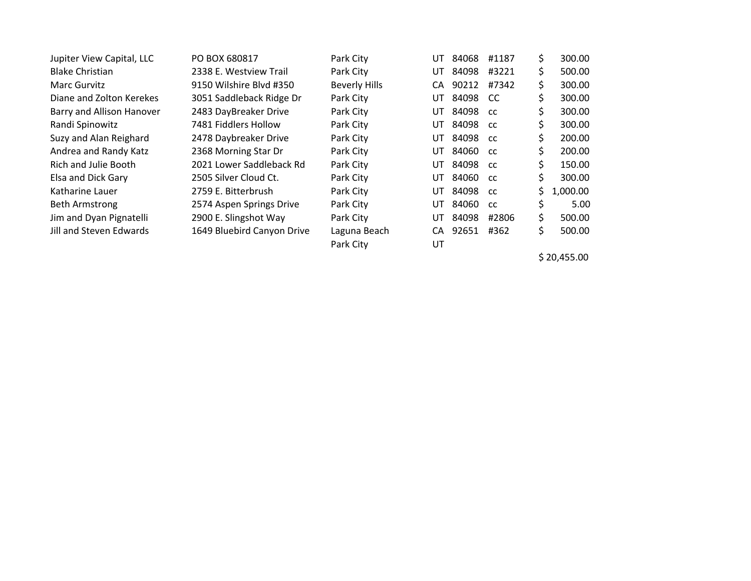| Jupiter View Capital, LLC   | PO BOX 680817              | Park City            | UT. | 84068 | #1187         | \$. | 300.00   |
|-----------------------------|----------------------------|----------------------|-----|-------|---------------|-----|----------|
| <b>Blake Christian</b>      | 2338 E. Westview Trail     | Park City            | UT  | 84098 | #3221         | \$. | 500.00   |
| Marc Gurvitz                | 9150 Wilshire Blvd #350    | <b>Beverly Hills</b> | CA. | 90212 | #7342         | \$  | 300.00   |
| Diane and Zolton Kerekes    | 3051 Saddleback Ridge Dr   | Park City            | UT. | 84098 | <sub>CC</sub> | Ś   | 300.00   |
| Barry and Allison Hanover   | 2483 DayBreaker Drive      | Park City            | UT. | 84098 | <b>CC</b>     | \$  | 300.00   |
| Randi Spinowitz             | 7481 Fiddlers Hollow       | Park City            | UT  | 84098 | <b>CC</b>     | \$  | 300.00   |
| Suzy and Alan Reighard      | 2478 Daybreaker Drive      | Park City            | UT. | 84098 | <b>CC</b>     | Ś.  | 200.00   |
| Andrea and Randy Katz       | 2368 Morning Star Dr       | Park City            | UT  | 84060 | <b>CC</b>     | \$  | 200.00   |
| <b>Rich and Julie Booth</b> | 2021 Lower Saddleback Rd   | Park City            | UT. | 84098 | <b>CC</b>     | \$  | 150.00   |
| Elsa and Dick Gary          | 2505 Silver Cloud Ct.      | Park City            | UT  | 84060 | <b>CC</b>     | \$  | 300.00   |
| Katharine Lauer             | 2759 E. Bitterbrush        | Park City            | UT. | 84098 | <b>CC</b>     | Ś.  | 1,000.00 |
| Beth Armstrong              | 2574 Aspen Springs Drive   | Park City            | UT  | 84060 | cc            | \$  | 5.00     |
| Jim and Dyan Pignatelli     | 2900 E. Slingshot Way      | Park City            | UT  | 84098 | #2806         | \$  | 500.00   |
| Jill and Steven Edwards     | 1649 Bluebird Canyon Drive | Laguna Beach         | CA. | 92651 | #362          | \$  | 500.00   |
|                             |                            | Park City            | UT  |       |               |     |          |

\$ 20,455.00